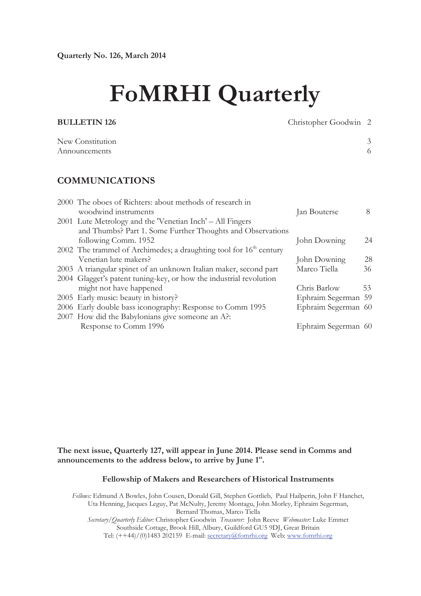# **FoMRHI Quarterly**

**BULLETIN 126** Christopher Goodwin 2

| New Constitution |  |
|------------------|--|
| Announcements    |  |
|                  |  |

## **COMMUNICATIONS**

| 2000 The oboes of Richters: about methods of research in             |                     |    |
|----------------------------------------------------------------------|---------------------|----|
| woodwind instruments                                                 | Jan Bouterse        | 8  |
| 2001 Lute Metrology and the 'Venetian Inch' – All Fingers            |                     |    |
| and Thumbs? Part 1. Some Further Thoughts and Observations           |                     |    |
| following Comm. 1952                                                 | John Downing        | 24 |
| 2002 The trammel of Archimedes; a draughting tool for $16th$ century |                     |    |
| Venetian lute makers?                                                | John Downing        | 28 |
| 2003 A triangular spinet of an unknown Italian maker, second part    | Marco Tiella        | 36 |
| 2004 Glagget's patent tuning-key, or how the industrial revolution   |                     |    |
| might not have happened                                              | Chris Barlow        | 53 |
| 2005 Early music: beauty in history?                                 | Ephraim Segerman 59 |    |
| 2006 Early double bass iconography: Response to Comm 1995            | Ephraim Segerman 60 |    |
| 2007 How did the Babylonians give someone an A?:                     |                     |    |
| Response to Comm 1996                                                | Ephraim Segerman 60 |    |

**The next issue, Quarterly 127, will appear in June 2014. Please send in Comms and announcements to the address below, to arrive by June 1st .** 

#### **Fellowship of Makers and Researchers of Historical Instruments**

*Fellows:* Edmund A Bowles, John Cousen, Donald Gill, Stephen Gottlieb, Paul Hailperin, John F Hanchet, Uta Henning, Jacques Leguy, Pat McNulty, Jeremy Montagu, John Morley, Ephraim Segerman, Bernard Thomas, Marco Tiella *Secretary/Quarterly Editor:* Christopher Goodwin *Treasurer:* John Reeve *Webmaster:* Luke Emmet Southside Cottage, Brook Hill, Albury, Guildford GU5 9DJ, Great Britain Tel: (++44)/(0)1483 202159 E-mail: secretary@fomrhi.org Web: www.fomrhi.org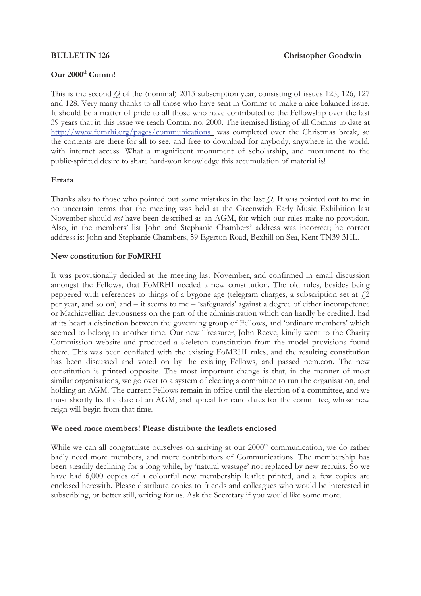#### **Our 2000th Comm!**

This is the second *Q* of the (nominal) 2013 subscription year, consisting of issues 125, 126, 127 and 128. Very many thanks to all those who have sent in Comms to make a nice balanced issue. It should be a matter of pride to all those who have contributed to the Fellowship over the last 39 years that in this issue we reach Comm. no. 2000. The itemised listing of all Comms to date at http://www.fomrhi.org/pages/communications was completed over the Christmas break, so the contents are there for all to see, and free to download for anybody, anywhere in the world, with internet access. What a magnificent monument of scholarship, and monument to the public-spirited desire to share hard-won knowledge this accumulation of material is!

#### **Errata**

Thanks also to those who pointed out some mistakes in the last *Q.* It was pointed out to me in no uncertain terms that the meeting was held at the Greenwich Early Music Exhibition last November should *not* have been described as an AGM, for which our rules make no provision. Also, in the members' list John and Stephanie Chambers' address was incorrect; he correct address is: John and Stephanie Chambers, 59 Egerton Road, Bexhill on Sea, Kent TN39 3HL.

#### **New constitution for FoMRHI**

It was provisionally decided at the meeting last November, and confirmed in email discussion amongst the Fellows, that FoMRHI needed a new constitution. The old rules, besides being peppered with references to things of a bygone age (telegram charges, a subscription set at  $f$ ,2 per year, and so on) and – it seems to me – 'safeguards' against a degree of either incompetence or Machiavellian deviousness on the part of the administration which can hardly be credited, had at its heart a distinction between the governing group of Fellows, and 'ordinary members' which seemed to belong to another time. Our new Treasurer, John Reeve, kindly went to the Charity Commission website and produced a skeleton constitution from the model provisions found there. This was been conflated with the existing FoMRHI rules, and the resulting constitution has been discussed and voted on by the existing Fellows, and passed nem.con. The new constitution is printed opposite. The most important change is that, in the manner of most similar organisations, we go over to a system of electing a committee to run the organisation, and holding an AGM. The current Fellows remain in office until the election of a committee, and we must shortly fix the date of an AGM, and appeal for candidates for the committee, whose new reign will begin from that time.

#### **We need more members! Please distribute the leaflets enclosed**

While we can all congratulate ourselves on arriving at our 2000<sup>th</sup> communication, we do rather badly need more members, and more contributors of Communications. The membership has been steadily declining for a long while, by 'natural wastage' not replaced by new recruits. So we have had 6,000 copies of a colourful new membership leaflet printed, and a few copies are enclosed herewith. Please distribute copies to friends and colleagues who would be interested in subscribing, or better still, writing for us. Ask the Secretary if you would like some more.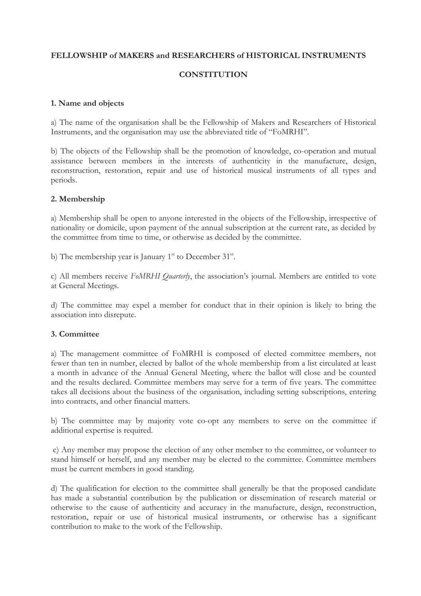#### **FELLOWSHIP of MAKERS and RESEARCHERS of HISTORICAL INSTRUMENTS**

#### **CONSTITUTION**

#### **1. Name and objects**

a) The name of the organisation shall be the Fellowship of Makers and Researchers of Historical Instruments, and the organisation may use the abbreviated title of "FoMRHI".

b) The objects of the Fellowship shall be the promotion of knowledge, co-operation and mutual assistance between members in the interests of authenticity in the manufacture, design, reconstruction, restoration, repair and use of historical musical instruments of all types and periods.

#### **2. Membership**

a) Membership shall be open to anyone interested in the objects of the Fellowship, irrespective of nationality or domicile, upon payment of the annual subscription at the current rate, as decided by the committee from time to time, or otherwise as decided by the committee.

b) The membership year is January  $1<sup>st</sup>$  to December  $31<sup>st</sup>$ .

c) All members receive *FoMRHI Quarterly*, the association's journal. Members are entitled to vote at General Meetings.

d) The committee may expel a member for conduct that in their opinion is likely to bring the association into disrepute.

#### **3. Committee**

a) The management committee of FoMRHI is composed of elected committee members, not fewer than ten in number, elected by ballot of the whole membership from a list circulated at least a month in advance of the Annual General Meeting, where the ballot will close and be counted and the results declared. Committee members may serve for a term of five years. The committee takes all decisions about the business of the organisation, including setting subscriptions, entering into contracts, and other financial matters.

b) The committee may by majority vote co-opt any members to serve on the committee if additional expertise is required.

 c) Any member may propose the election of any other member to the committee, or volunteer to stand himself or herself, and any member may be elected to the committee. Committee members must be current members in good standing.

d) The qualification for election to the committee shall generally be that the proposed candidate has made a substantial contribution by the publication or dissemination of research material or otherwise to the cause of authenticity and accuracy in the manufacture, design, reconstruction, restoration, repair or use of historical musical instruments, or otherwise has a significant contribution to make to the work of the Fellowship.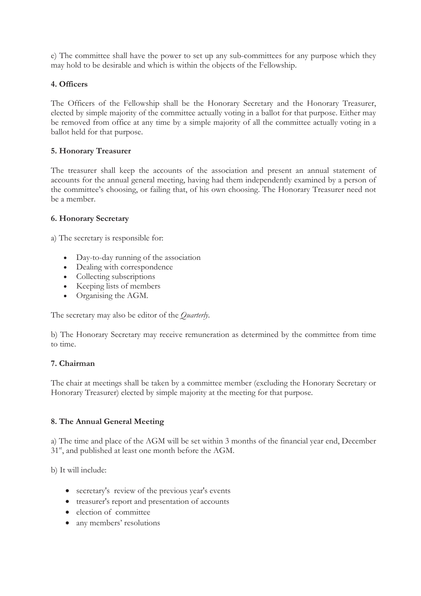e) The committee shall have the power to set up any sub-committees for any purpose which they may hold to be desirable and which is within the objects of the Fellowship.

#### **4. Officers**

The Officers of the Fellowship shall be the Honorary Secretary and the Honorary Treasurer, elected by simple majority of the committee actually voting in a ballot for that purpose. Either may be removed from office at any time by a simple majority of all the committee actually voting in a ballot held for that purpose.

#### **5. Honorary Treasurer**

The treasurer shall keep the accounts of the association and present an annual statement of accounts for the annual general meeting, having had them independently examined by a person of the committee's choosing, or failing that, of his own choosing. The Honorary Treasurer need not be a member.

#### **6. Honorary Secretary**

a) The secretary is responsible for:

- Day-to-day running of the association
- Dealing with correspondence
- $\bullet$  Collecting subscriptions
- $\bullet$  Keeping lists of members
- Organising the AGM.

The secretary may also be editor of the *Quarterly*.

b) The Honorary Secretary may receive remuneration as determined by the committee from time to time.

#### **7. Chairman**

The chair at meetings shall be taken by a committee member (excluding the Honorary Secretary or Honorary Treasurer) elected by simple majority at the meeting for that purpose.

### **8. The Annual General Meeting**

a) The time and place of the AGM will be set within 3 months of the financial year end, December  $31<sup>st</sup>$ , and published at least one month before the AGM.

b) It will include:

- secretary's review of the previous year's events
- treasurer's report and presentation of accounts
- election of committee
- any members' resolutions